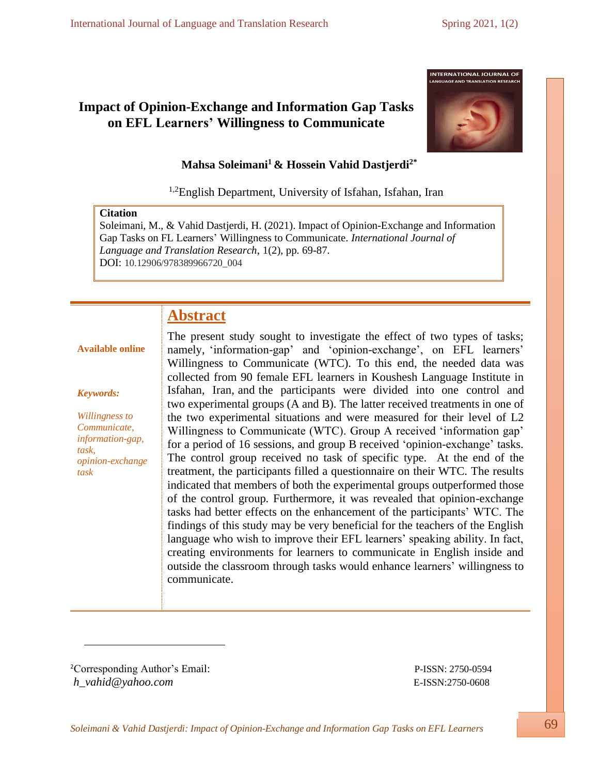# **Impact of Opinion-Exchange and Information Gap Tasks on EFL Learners' Willingness to Communicate**



# **Mahsa Soleimani<sup>1</sup> & Hossein Vahid Dastjerdi2\***

<sup>1,2</sup>English Department, University of Isfahan, Isfahan, Iran

# **Citation**

Soleimani, M., & Vahid Dastjerdi, H. (2021). Impact of Opinion-Exchange and Information Gap Tasks on FL Learners' Willingness to Communicate. *International Journal of Language and Translation Research*, 1(2), pp. 69-87. DOI: 10.12906/978389966720\_004

# **Abstract**

# **Available online**

#### *Keywords:*

*Willingness to Communicate, information-gap, task, opinion-exchange task*

The present study sought to investigate the effect of two types of tasks; namely, 'information-gap' and 'opinion-exchange', on EFL learners' Willingness to Communicate (WTC). To this end, the needed data was collected from 90 female EFL learners in Koushesh Language Institute in Isfahan, Iran, and the participants were divided into one control and two experimental groups (A and B). The latter received treatments in one of the two experimental situations and were measured for their level of L2 Willingness to Communicate (WTC). Group A received 'information gap' for a period of 16 sessions, and group B received 'opinion-exchange' tasks. The control group received no task of specific type. At the end of the treatment, the participants filled a questionnaire on their WTC. The results indicated that members of both the experimental groups outperformed those of the control group. Furthermore, it was revealed that opinion-exchange tasks had better effects on the enhancement of the participants' WTC. The findings of this study may be very beneficial for the teachers of the English language who wish to improve their EFL learners' speaking ability. In fact, creating environments for learners to communicate in English inside and outside the classroom through tasks would enhance learners' willingness to communicate.

<sup>2</sup>Corresponding Author's Email: P-ISSN: 2750-0594 *[h\\_vahid@yahoo.com](mailto:h_vahid@yahoo.com)* E-ISSN:2750-0608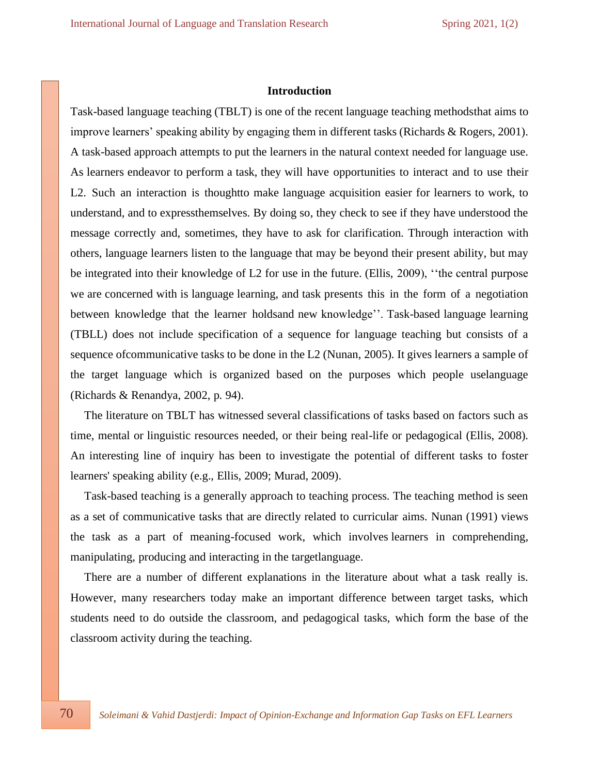#### **Introduction**

Task-based language teaching (TBLT) is one of the recent language teaching methodsthat aims to improve learners' speaking ability by engaging them in different tasks (Richards & Rogers, 2001). A task-based approach attempts to put the learners in the natural context needed for language use. As learners endeavor to perform a task, they will have opportunities to interact and to use their L2. Such an interaction is thoughtto make language acquisition easier for learners to work, to understand, and to expressthemselves. By doing so, they check to see if they have understood the message correctly and, sometimes, they have to ask for clarification. Through interaction with others, language learners listen to the language that may be beyond their present ability, but may be integrated into their knowledge of L2 for use in the future. (Ellis, 2009), ''the central purpose we are concerned with is language learning, and task presents this in the form of a negotiation between knowledge that the learner holdsand new knowledge''. Task-based language learning (TBLL) does not include specification of a sequence for language teaching but consists of a sequence ofcommunicative tasks to be done in the L2 (Nunan, 2005). It gives learners a sample of the target language which is organized based on the purposes which people uselanguage (Richards & Renandya, 2002, p. 94).

The literature on TBLT has witnessed several classifications of tasks based on factors such as time, mental or linguistic resources needed, or their being real-life or pedagogical (Ellis, 2008). An interesting line of inquiry has been to investigate the potential of different tasks to foster learners' speaking ability (e.g., Ellis, 2009; Murad, 2009).

Task-based teaching is a generally approach to teaching process. The teaching method is seen as a set of communicative tasks that are directly related to curricular aims. Nunan (1991) views the task as a part of meaning-focused work, which involves learners in comprehending, manipulating, producing and interacting in the targetlanguage.

There are a number of different explanations in the literature about what a task really is. However, many researchers today make an important difference between target tasks, which students need to do outside the classroom, and pedagogical tasks, which form the base of the classroom activity during the teaching.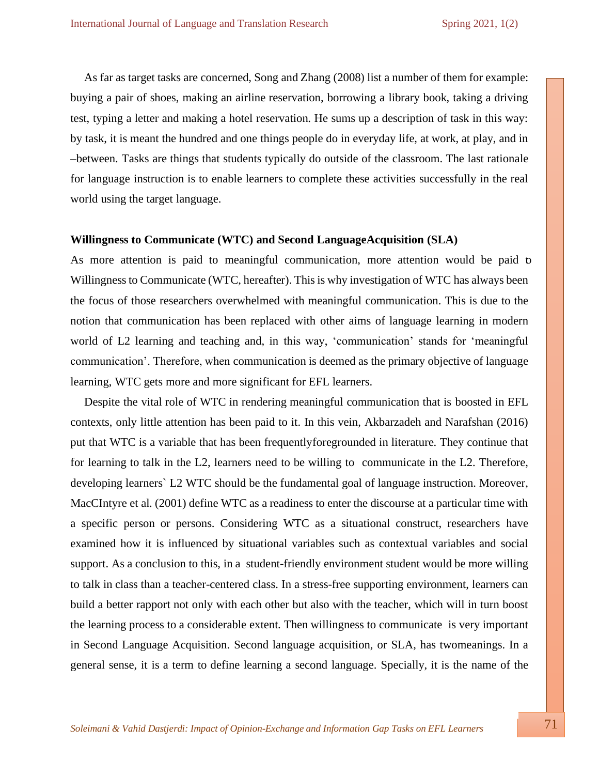As far as target tasks are concerned, Song and Zhang (2008) list a number of them for example: buying a pair of shoes, making an airline reservation, borrowing a library book, taking a driving test, typing a letter and making a hotel reservation. He sums up a description of task in this way: by task, it is meant the hundred and one things people do in everyday life, at work, at play, and in –between. Tasks are things that students typically do outside of the classroom. The last rationale for language instruction is to enable learners to complete these activities successfully in the real world using the target language.

#### **Willingness to Communicate (WTC) and Second LanguageAcquisition (SLA)**

As more attention is paid to meaningful communication, more attention would be paid to Willingness to Communicate (WTC, hereafter). This is why investigation of WTC has always been the focus of those researchers overwhelmed with meaningful communication. This is due to the notion that communication has been replaced with other aims of language learning in modern world of L2 learning and teaching and, in this way, 'communication' stands for 'meaningful communication'. Therefore, when communication is deemed as the primary objective of language learning, WTC gets more and more significant for EFL learners.

Despite the vital role of WTC in rendering meaningful communication that is boosted in EFL contexts, only little attention has been paid to it. In this vein, Akbarzadeh and Narafshan (2016) put that WTC is a variable that has been frequentlyforegrounded in literature. They continue that for learning to talk in the L2, learners need to be willing to communicate in the L2. Therefore, developing learners` L2 WTC should be the fundamental goal of language instruction. Moreover, MacCIntyre et al. (2001) define WTC as a readiness to enter the discourse at a particular time with a specific person or persons. Considering WTC as a situational construct, researchers have examined how it is influenced by situational variables such as contextual variables and social support. As a conclusion to this, in a student-friendly environment student would be more willing to talk in class than a teacher-centered class. In a stress-free supporting environment, learners can build a better rapport not only with each other but also with the teacher, which will in turn boost the learning process to a considerable extent. Then willingness to communicate is very important in Second Language Acquisition. Second language acquisition, or SLA, has twomeanings. In a general sense, it is a term to define learning a second language. Specially, it is the name of the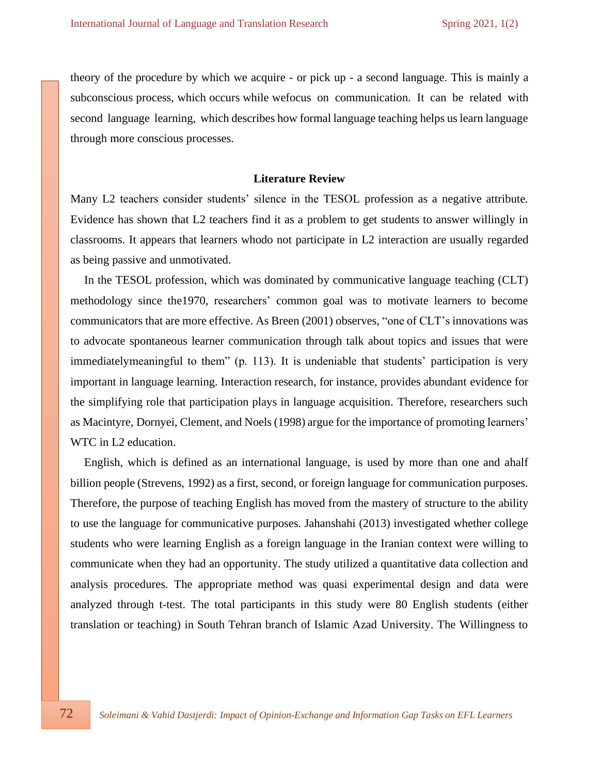theory of the procedure by which we acquire - or pick up - a second language. This is mainly a subconscious process, which occurs while wefocus on communication. It can be related with second language learning, which describes how formal language teaching helps us learn language through more conscious processes.

#### **Literature Review**

Many L2 teachers consider students' silence in the TESOL profession as a negative attribute. Evidence has shown that L2 teachers find it as a problem to get students to answer willingly in classrooms. It appears that learners whodo not participate in L2 interaction are usually regarded as being passive and unmotivated.

In the TESOL profession, which was dominated by communicative language teaching (CLT) methodology since the1970, researchers' common goal was to motivate learners to become communicators that are more effective. As Breen (2001) observes, "one of CLT's innovations was to advocate spontaneous learner communication through talk about topics and issues that were immediatelymeaningful to them" (p. 113). It is undeniable that students' participation is very important in language learning. Interaction research, for instance, provides abundant evidence for the simplifying role that participation plays in language acquisition. Therefore, researchers such as Macintyre, Dornyei, Clement, and Noels (1998) argue for the importance of promoting learners' WTC in L2 education.

English, which is defined as an international language, is used by more than one and ahalf billion people (Strevens, 1992) as a first, second, or foreign language for communication purposes. Therefore, the purpose of teaching English has moved from the mastery of structure to the ability to use the language for communicative purposes. Jahanshahi (2013) investigated whether college students who were learning English as a foreign language in the Iranian context were willing to communicate when they had an opportunity. The study utilized a quantitative data collection and analysis procedures. The appropriate method was quasi experimental design and data were analyzed through t-test. The total participants in this study were 80 English students (either translation or teaching) in South Tehran branch of Islamic Azad University. The Willingness to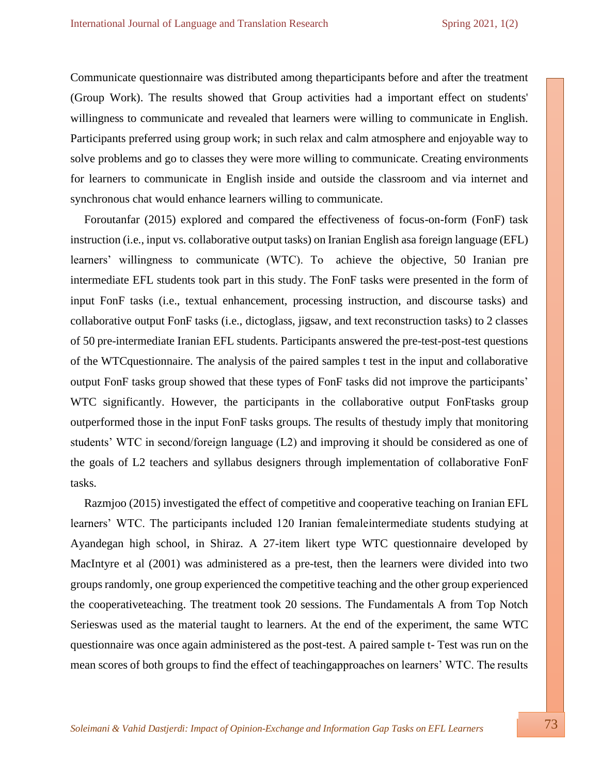Communicate questionnaire was distributed among theparticipants before and after the treatment (Group Work). The results showed that Group activities had a important effect on students' willingness to communicate and revealed that learners were willing to communicate in English. Participants preferred using group work; in such relax and calm atmosphere and enjoyable way to solve problems and go to classes they were more willing to communicate. Creating environments for learners to communicate in English inside and outside the classroom and via internet and synchronous chat would enhance learners willing to communicate.

Foroutanfar (2015) explored and compared the effectiveness of focus-on-form (FonF) task instruction (i.e., input vs. collaborative output tasks) on Iranian English asa foreign language (EFL) learners' willingness to communicate (WTC). To achieve the objective, 50 Iranian pre intermediate EFL students took part in this study. The FonF tasks were presented in the form of input FonF tasks (i.e., textual enhancement, processing instruction, and discourse tasks) and collaborative output FonF tasks (i.e., dictoglass, jigsaw, and text reconstruction tasks) to 2 classes of 50 pre-intermediate Iranian EFL students. Participants answered the pre-test-post-test questions of the WTCquestionnaire. The analysis of the paired samples t test in the input and collaborative output FonF tasks group showed that these types of FonF tasks did not improve the participants' WTC significantly. However, the participants in the collaborative output FonFtasks group outperformed those in the input FonF tasks groups. The results of thestudy imply that monitoring students' WTC in second/foreign language (L2) and improving it should be considered as one of the goals of L2 teachers and syllabus designers through implementation of collaborative FonF tasks.

Razmjoo (2015) investigated the effect of competitive and cooperative teaching on Iranian EFL learners' WTC. The participants included 120 Iranian femaleintermediate students studying at Ayandegan high school, in Shiraz. A 27-item likert type WTC questionnaire developed by MacIntyre et al (2001) was administered as a pre-test, then the learners were divided into two groupsrandomly, one group experienced the competitive teaching and the other group experienced the cooperativeteaching. The treatment took 20 sessions. The Fundamentals A from Top Notch Serieswas used as the material taught to learners. At the end of the experiment, the same WTC questionnaire was once again administered as the post-test. A paired sample t- Test was run on the mean scores of both groups to find the effect of teachingapproaches on learners' WTC. The results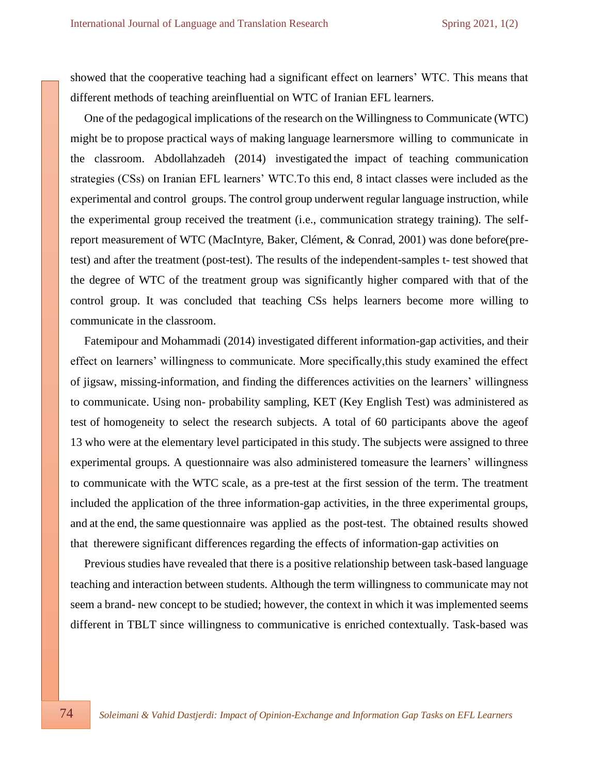showed that the cooperative teaching had a significant effect on learners' WTC. This means that different methods of teaching areinfluential on WTC of Iranian EFL learners.

One of the pedagogical implications of the research on the Willingness to Communicate (WTC) might be to propose practical ways of making language learnersmore willing to communicate in the classroom. Abdollahzadeh (2014) investigated the impact of teaching communication strategies (CSs) on Iranian EFL learners' WTC.To this end, 8 intact classes were included as the experimental and control groups. The control group underwent regular language instruction, while the experimental group received the treatment (i.e., communication strategy training). The selfreport measurement of WTC (MacIntyre, Baker, Clément, & Conrad, 2001) was done before(pretest) and after the treatment (post-test). The results of the independent-samples t- test showed that the degree of WTC of the treatment group was significantly higher compared with that of the control group. It was concluded that teaching CSs helps learners become more willing to communicate in the classroom.

Fatemipour and Mohammadi (2014) investigated different information-gap activities, and their effect on learners' willingness to communicate. More specifically,this study examined the effect of jigsaw, missing-information, and finding the differences activities on the learners' willingness to communicate. Using non- probability sampling, KET (Key English Test) was administered as test of homogeneity to select the research subjects. A total of 60 participants above the ageof 13 who were at the elementary level participated in this study. The subjects were assigned to three experimental groups. A questionnaire was also administered tomeasure the learners' willingness to communicate with the WTC scale, as a pre-test at the first session of the term. The treatment included the application of the three information-gap activities, in the three experimental groups, and at the end, the same questionnaire was applied as the post-test. The obtained results showed that therewere significant differences regarding the effects of information-gap activities on

Previous studies have revealed that there is a positive relationship between task-based language teaching and interaction between students. Although the term willingness to communicate may not seem a brand- new concept to be studied; however, the context in which it was implemented seems different in TBLT since willingness to communicative is enriched contextually. Task-based was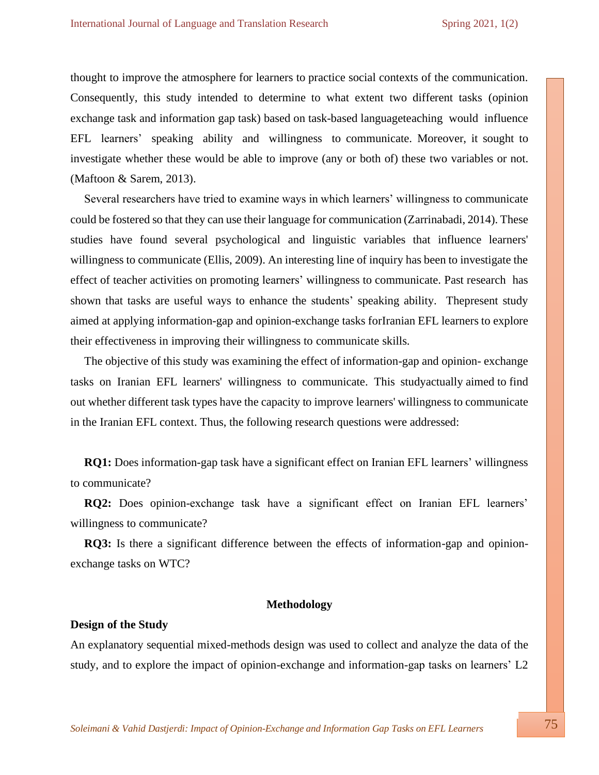thought to improve the atmosphere for learners to practice social contexts of the communication. Consequently, this study intended to determine to what extent two different tasks (opinion exchange task and information gap task) based on task-based languageteaching would influence EFL learners' speaking ability and willingness to communicate. Moreover, it sought to investigate whether these would be able to improve (any or both of) these two variables or not. (Maftoon & Sarem, 2013).

Several researchers have tried to examine ways in which learners' willingness to communicate could be fostered so that they can use their language for communication (Zarrinabadi, 2014). These studies have found several psychological and linguistic variables that influence learners' willingness to communicate (Ellis, 2009). An interesting line of inquiry has been to investigate the effect of teacher activities on promoting learners' willingness to communicate. Past research has shown that tasks are useful ways to enhance the students' speaking ability. Thepresent study aimed at applying information-gap and opinion-exchange tasks forIranian EFL learners to explore their effectiveness in improving their willingness to communicate skills.

The objective of this study was examining the effect of information-gap and opinion- exchange tasks on Iranian EFL learners' willingness to communicate. This studyactually aimed to find out whether different task types have the capacity to improve learners' willingness to communicate in the Iranian EFL context. Thus, the following research questions were addressed:

**RQ1:** Does information-gap task have a significant effect on Iranian EFL learners' willingness to communicate?

**RQ2:** Does opinion-exchange task have a significant effect on Iranian EFL learners' willingness to communicate?

**RQ3:** Is there a significant difference between the effects of information-gap and opinionexchange tasks on WTC?

#### **Methodology**

#### **Design of the Study**

An explanatory sequential mixed-methods design was used to collect and analyze the data of the study, and to explore the impact of opinion-exchange and information-gap tasks on learners' L2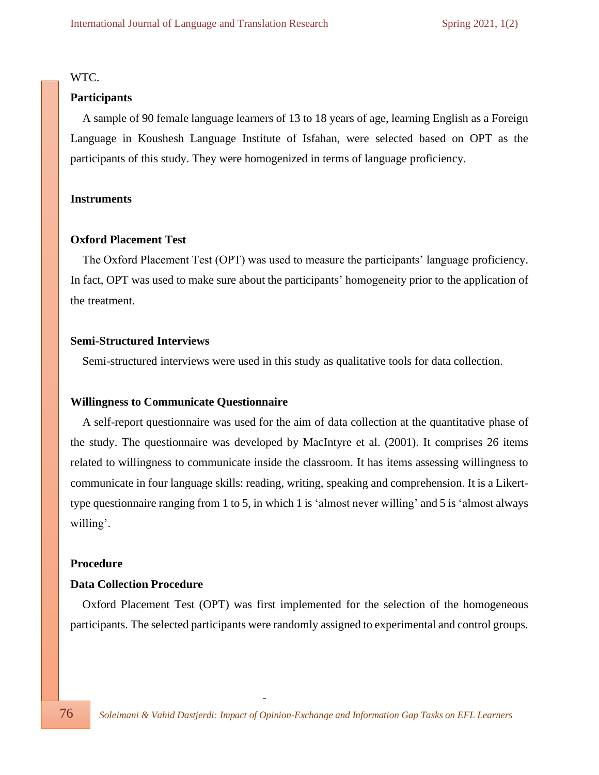## WTC.

#### **Participants**

 A sample of 90 female language learners of 13 to 18 years of age, learning English as a Foreign Language in Koushesh Language Institute of Isfahan, were selected based on OPT as the participants of this study. They were homogenized in terms of language proficiency.

#### **Instruments**

#### **Oxford Placement Test**

 The Oxford Placement Test (OPT) was used to measure the participants' language proficiency. In fact, OPT was used to make sure about the participants' homogeneity prior to the application of the treatment.

#### **Semi-Structured Interviews**

Semi-structured interviews were used in this study as qualitative tools for data collection.

#### **Willingness to Communicate Questionnaire**

 A self-report questionnaire was used for the aim of data collection at the quantitative phase of the study. The questionnaire was developed by MacIntyre et al. (2001). It comprises 26 items related to willingness to communicate inside the classroom. It has items assessing willingness to communicate in four language skills: reading, writing, speaking and comprehension. It is a Likerttype questionnaire ranging from 1 to 5, in which 1 is 'almost never willing' and 5 is 'almost always willing'.

#### **Procedure**

#### **Data Collection Procedure**

 Oxford Placement Test (OPT) was first implemented for the selection of the homogeneous participants. The selected participants were randomly assigned to experimental and control groups.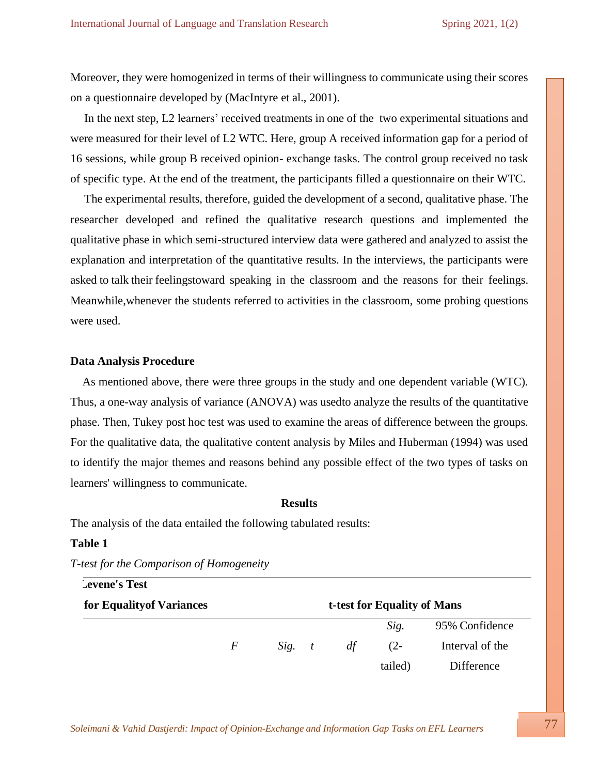Moreover, they were homogenized in terms of their willingness to communicate using their scores on a questionnaire developed by (MacIntyre et al., 2001).

In the next step, L2 learners' received treatments in one of the two experimental situations and were measured for their level of L2 WTC. Here, group A received information gap for a period of 16 sessions, while group B received opinion- exchange tasks. The control group received no task of specific type. At the end of the treatment, the participants filled a questionnaire on their WTC.

The experimental results, therefore, guided the development of a second, qualitative phase. The researcher developed and refined the qualitative research questions and implemented the qualitative phase in which semi-structured interview data were gathered and analyzed to assist the explanation and interpretation of the quantitative results. In the interviews, the participants were asked to talk their feelingstoward speaking in the classroom and the reasons for their feelings. Meanwhile,whenever the students referred to activities in the classroom, some probing questions were used.

#### **Data Analysis Procedure**

 As mentioned above, there were three groups in the study and one dependent variable (WTC). Thus, a one-way analysis of variance (ANOVA) was usedto analyze the results of the quantitative phase. Then, Tukey post hoc test was used to examine the areas of difference between the groups. For the qualitative data, the qualitative content analysis by Miles and Huberman (1994) was used to identify the major themes and reasons behind any possible effect of the two types of tasks on learners' willingness to communicate.

#### **Results**

The analysis of the data entailed the following tabulated results:

#### **Table 1**

| <b>Levene's Test</b>      |   |          |    |                             |                 |
|---------------------------|---|----------|----|-----------------------------|-----------------|
| for Equality of Variances |   |          |    | t-test for Equality of Mans |                 |
|                           |   |          |    | Sig.                        | 95% Confidence  |
|                           | F | $Sig.$ t | df | $(2 -$                      | Interval of the |
|                           |   |          |    | tailed)                     | Difference      |

#### *T-test for the Comparison of Homogeneity*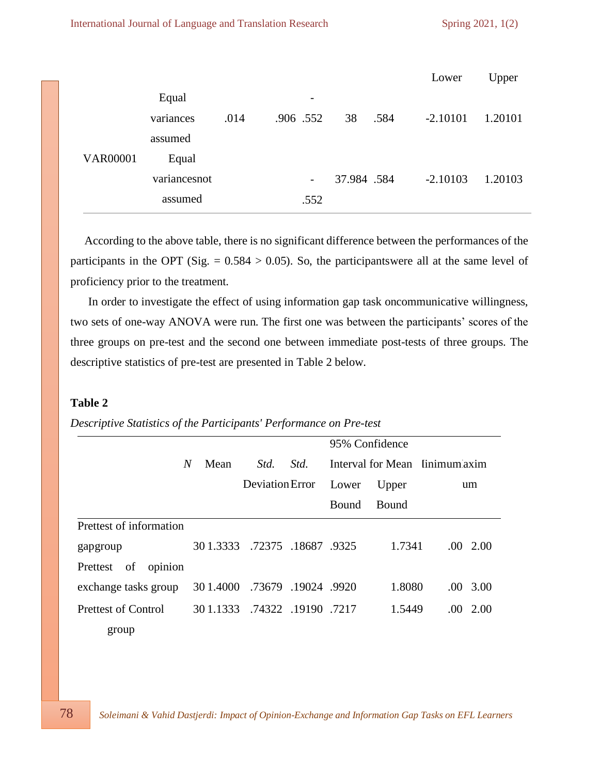|                 |              |      |                          |             |      | Lower      | Upper   |
|-----------------|--------------|------|--------------------------|-------------|------|------------|---------|
|                 | Equal        |      | $\overline{\phantom{a}}$ |             |      |            |         |
|                 | variances    | .014 | .906 .552                | 38          | .584 | $-2.10101$ | 1.20101 |
|                 | assumed      |      |                          |             |      |            |         |
| <b>VAR00001</b> | Equal        |      |                          |             |      |            |         |
|                 | variancesnot |      | $\overline{\phantom{a}}$ | 37.984 .584 |      | $-2.10103$ | 1.20103 |
|                 | assumed      |      | .552                     |             |      |            |         |

According to the above table, there is no significant difference between the performances of the participants in the OPT (Sig.  $= 0.584 > 0.05$ ). So, the participantswere all at the same level of proficiency prior to the treatment.

 In order to investigate the effect of using information gap task oncommunicative willingness, two sets of one-way ANOVA were run. The first one was between the participants' scores of the three groups on pre-test and the second one between immediate post-tests of three groups. The descriptive statistics of pre-test are presented in Table 2 below.

#### **Table 2**

# *Descriptive Statistics of the Participants' Performance on Pre-test*

|                            |                               |                     |      | 95% Confidence |              |                                |  |
|----------------------------|-------------------------------|---------------------|------|----------------|--------------|--------------------------------|--|
|                            | Mean<br>N                     | Std.                | Std. |                |              | Interval for Mean linimum axim |  |
|                            |                               | Deviation Error     |      | Lower          | Upper        | um                             |  |
|                            |                               |                     |      | Bound          | <b>Bound</b> |                                |  |
| Prettest of information    |                               |                     |      |                |              |                                |  |
| gapgroup                   | 30 1.3333 .72375 .18687 .9325 |                     |      |                | 1.7341       | $.00\quad2.00$                 |  |
| of<br>opinion<br>Prettest  |                               |                     |      |                |              |                                |  |
| exchange tasks group       | 30 1.4000                     | .73679 .19024 .9920 |      |                | 1.8080       | $.00 \quad 3.00$               |  |
| <b>Prettest of Control</b> | 30 1.1333 .74322 .19190 .7217 |                     |      |                | 1.5449       | $.00\quad2.00$                 |  |
| group                      |                               |                     |      |                |              |                                |  |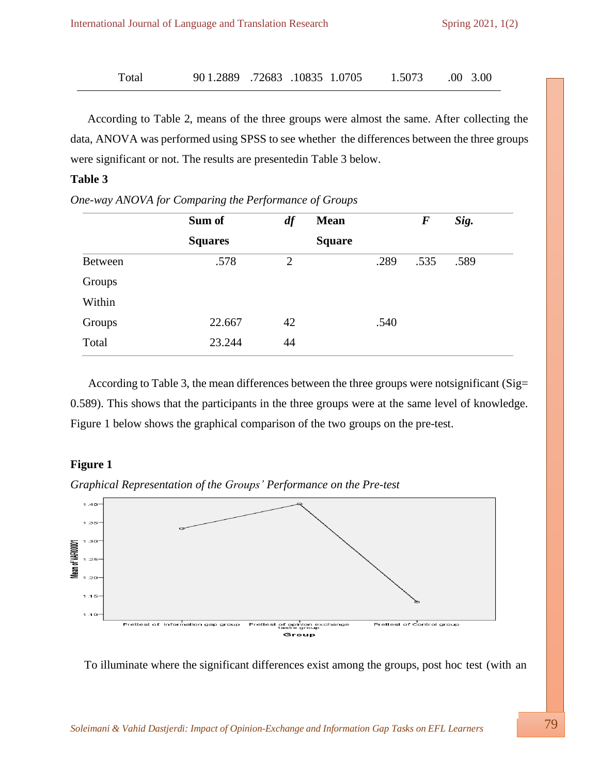| 90 1.2889 .72683 .10835 1.0705<br>Total |  |  |  | 1.5073 | $.00\quad 3.00$ |
|-----------------------------------------|--|--|--|--------|-----------------|
|-----------------------------------------|--|--|--|--------|-----------------|

According to Table 2, means of the three groups were almost the same. After collecting the data, ANOVA was performed using SPSS to see whether the differences between the three groups were significant or not. The results are presentedin Table 3 below.

## **Table 3**

|                | Sum of         | df             | <b>Mean</b>   |      | $\bm{F}$ | Sig. |
|----------------|----------------|----------------|---------------|------|----------|------|
|                | <b>Squares</b> |                | <b>Square</b> |      |          |      |
| <b>Between</b> | .578           | $\overline{2}$ |               | .289 | .535     | .589 |
| Groups         |                |                |               |      |          |      |
| Within         |                |                |               |      |          |      |
| Groups         | 22.667         | 42             |               | .540 |          |      |
| Total          | 23.244         | 44             |               |      |          |      |

*One-way ANOVA for Comparing the Performance of Groups*

 According to Table 3, the mean differences between the three groups were notsignificant (Sig= 0.589). This shows that the participants in the three groups were at the same level of knowledge. Figure 1 below shows the graphical comparison of the two groups on the pre-test.

#### **Figure 1**





To illuminate where the significant differences exist among the groups, post hoc test (with an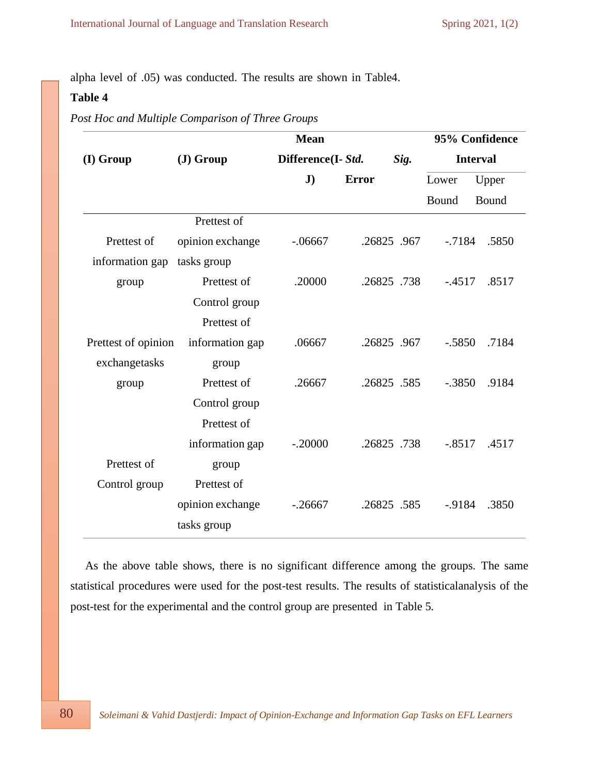alpha level of .05) was conducted. The results are shown in Table4.

# **Table 4**

*Post Hoc and Multiple Comparison of Three Groups*

|                     |                  | <b>Mean</b>        |              |          | 95% Confidence  |
|---------------------|------------------|--------------------|--------------|----------|-----------------|
| (I) Group           | $J)$ Group       | Difference(I- Std. | Sig.         |          | <b>Interval</b> |
|                     |                  | $\mathbf{J}$       | <b>Error</b> | Lower    | Upper           |
|                     |                  |                    |              | Bound    | Bound           |
|                     | Prettest of      |                    |              |          |                 |
| Prettest of         | opinion exchange | $-0.06667$         | .26825.967   | $-7184$  | .5850           |
| information gap     | tasks group      |                    |              |          |                 |
| group               | Prettest of      | .20000             | .26825.738   | $-.4517$ | .8517           |
|                     | Control group    |                    |              |          |                 |
|                     | Prettest of      |                    |              |          |                 |
| Prettest of opinion | information gap  | .06667             | .26825.967   | $-.5850$ | .7184           |
| exchangetasks       | group            |                    |              |          |                 |
| group               | Prettest of      | .26667             | .26825.585   | $-.3850$ | .9184           |
|                     | Control group    |                    |              |          |                 |
|                     | Prettest of      |                    |              |          |                 |
|                     | information gap  | $-.20000$          | .26825.738   | $-.8517$ | .4517           |
| Prettest of         | group            |                    |              |          |                 |
| Control group       | Prettest of      |                    |              |          |                 |
|                     | opinion exchange | $-26667$           | .26825.585   | $-9184$  | .3850           |
|                     | tasks group      |                    |              |          |                 |

 As the above table shows, there is no significant difference among the groups. The same statistical procedures were used for the post-test results. The results of statisticalanalysis of the post-test for the experimental and the control group are presented in Table 5.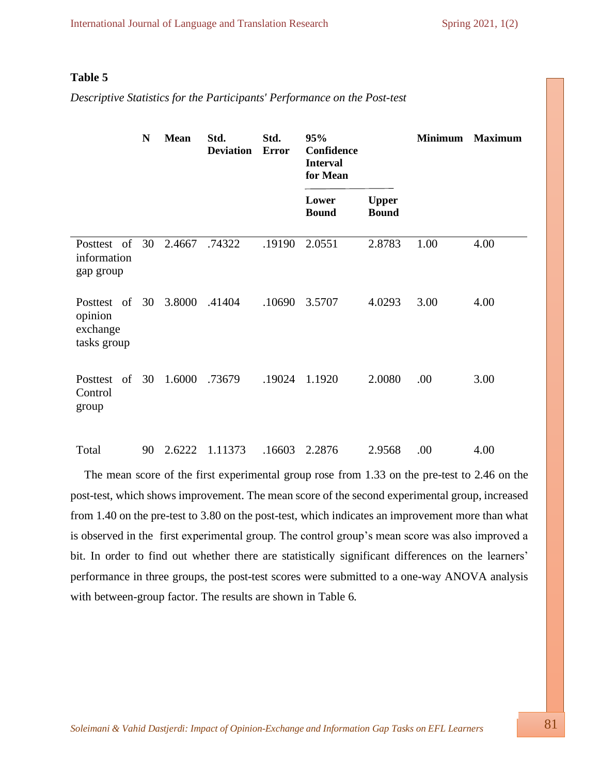### **Table 5**

*Descriptive Statistics for the Participants' Performance on the Post-test*

|                                                   | N  | <b>Mean</b> | Std.<br><b>Deviation</b> | Std.<br><b>Error</b> | 95%<br>Confidence<br><b>Interval</b><br>for Mean |                              | <b>Minimum</b> | <b>Maximum</b> |
|---------------------------------------------------|----|-------------|--------------------------|----------------------|--------------------------------------------------|------------------------------|----------------|----------------|
|                                                   |    |             |                          |                      | Lower<br><b>Bound</b>                            | <b>Upper</b><br><b>Bound</b> |                |                |
| Posttest of<br>information<br>gap group           | 30 | 2.4667      | .74322                   | .19190               | 2.0551                                           | 2.8783                       | 1.00           | 4.00           |
| Posttest of<br>opinion<br>exchange<br>tasks group | 30 | 3.8000      | .41404                   | .10690               | 3.5707                                           | 4.0293                       | 3.00           | 4.00           |
| Posttest<br>of<br>Control<br>group                | 30 | 1.6000      | .73679                   | .19024               | 1.1920                                           | 2.0080                       | .00            | 3.00           |
| Total                                             | 90 |             | 2.6222 1.11373           | .16603               | 2.2876                                           | 2.9568                       | .00            | 4.00           |

The mean score of the first experimental group rose from 1.33 on the pre-test to 2.46 on the post-test, which shows improvement. The mean score of the second experimental group, increased from 1.40 on the pre-test to 3.80 on the post-test, which indicates an improvement more than what is observed in the first experimental group. The control group's mean score was also improved a bit. In order to find out whether there are statistically significant differences on the learners' performance in three groups, the post-test scores were submitted to a one-way ANOVA analysis with between-group factor. The results are shown in Table 6.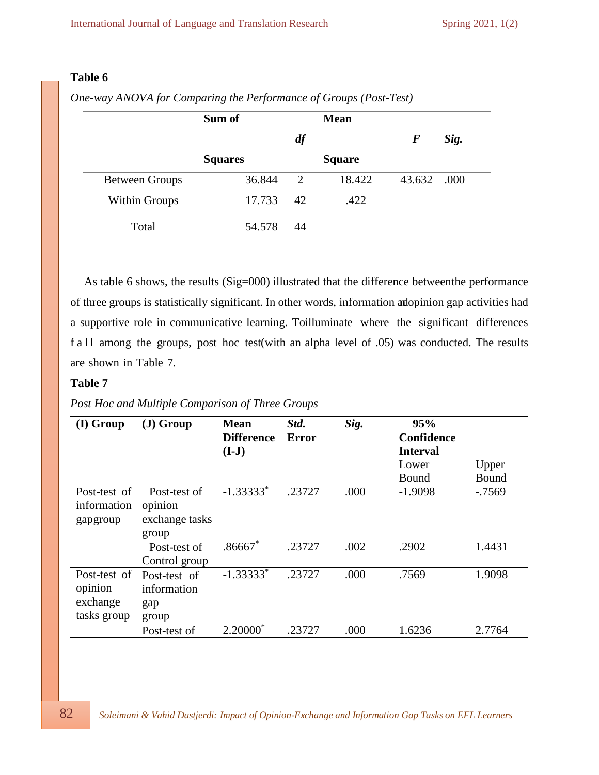# **Table 6**

|                       | Sum of         |    | <b>Mean</b>   |             |      |
|-----------------------|----------------|----|---------------|-------------|------|
|                       |                | df |               | $\bm{F}$    | Sig. |
|                       | <b>Squares</b> |    | <b>Square</b> |             |      |
| <b>Between Groups</b> | 36.844         | 2  | 18.422        | 43.632 .000 |      |
| Within Groups         | 17.733         | 42 | .422          |             |      |
| Total                 | 54.578         | 44 |               |             |      |

*One-way ANOVA for Comparing the Performance of Groups (Post-Test)*

As table 6 shows, the results (Sig=000) illustrated that the difference betweenthe performance of three groups is statistically significant. In other words, information andopinion gap activities had a supportive role in communicative learning. Toilluminate where the significant differences f a  $11$  among the groups, post hoc test(with an alpha level of .05) was conducted. The results are shown in Table 7.

## **Table 7**

*Post Hoc and Multiple Comparison of Three Groups*

| $(I)$ Group                                        | $J)$ Group                                         | <b>Mean</b><br><b>Difference</b><br>$(I-J)$ | Std.<br>Error | Sig. | 95%<br>Confidence<br><b>Interval</b><br>Lower<br><b>Bound</b> | Upper<br>Bound |
|----------------------------------------------------|----------------------------------------------------|---------------------------------------------|---------------|------|---------------------------------------------------------------|----------------|
| Post-test of<br>information<br>gapgroup            | Post-test of<br>opinion<br>exchange tasks<br>group | $-1.333333*$                                | .23727        | .000 | $-1.9098$                                                     | $-0.7569$      |
|                                                    | Post-test of<br>Control group                      | $.86667*$                                   | .23727        | .002 | .2902                                                         | 1.4431         |
| Post-test of<br>opinion<br>exchange<br>tasks group | Post-test of<br>information<br>gap<br>group        | $-1.33333^{*}$                              | .23727        | .000 | .7569                                                         | 1.9098         |
|                                                    | Post-test of                                       | $2.20000^*$                                 | .23727        | .000 | 1.6236                                                        | 2.7764         |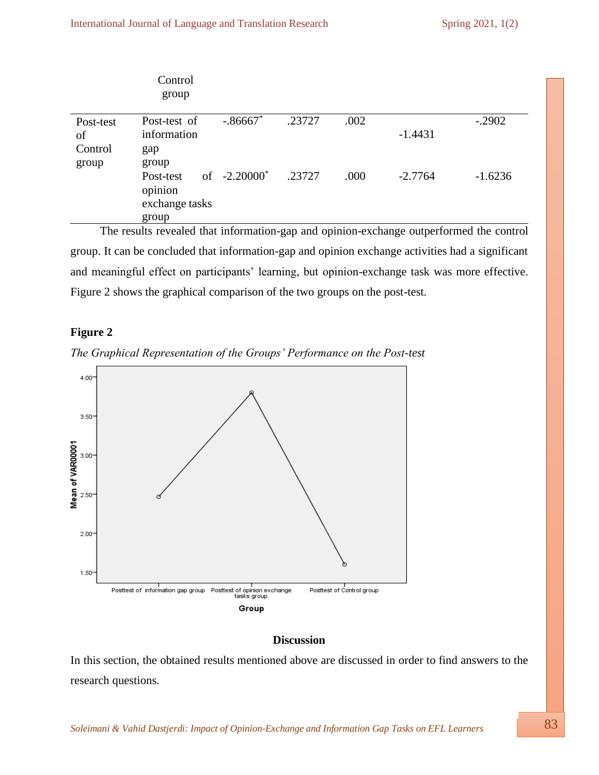|                                     | Control<br>group                                |                 |        |      |           |           |
|-------------------------------------|-------------------------------------------------|-----------------|--------|------|-----------|-----------|
| Post-test<br>of<br>Control<br>group | Post-test of<br>information<br>gap<br>group     | $-.86667$       | .23727 | .002 | $-1.4431$ | $-.2902$  |
|                                     | Post-test<br>opinion<br>exchange tasks<br>group | of $-2.20000^*$ | .23727 | .000 | $-2.7764$ | $-1.6236$ |

 The results revealed that information-gap and opinion-exchange outperformed the control group. It can be concluded that information-gap and opinion exchange activities had a significant and meaningful effect on participants' learning, but opinion-exchange task was more effective. Figure 2 shows the graphical comparison of the two groups on the post-test.

#### **Figure 2**





## **Discussion**

In this section, the obtained results mentioned above are discussed in order to find answers to the research questions.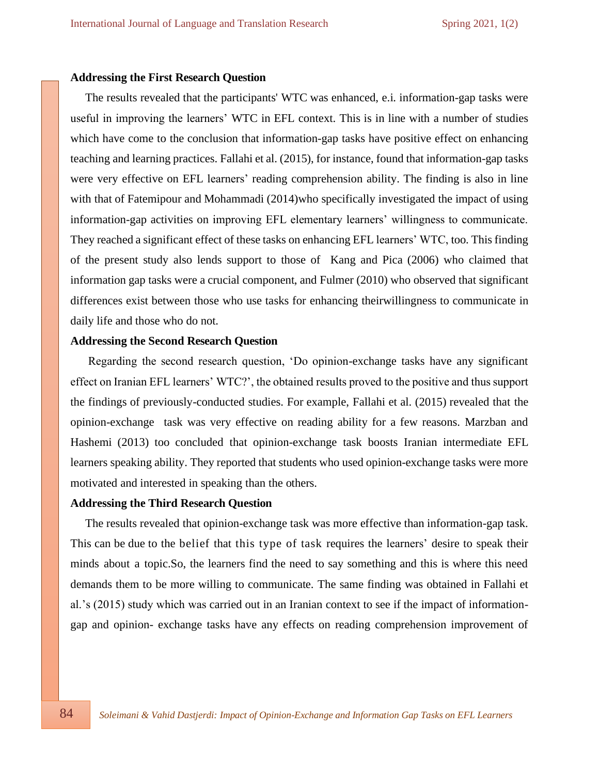#### **Addressing the First Research Question**

 The results revealed that the participants' WTC was enhanced, e.i. information-gap tasks were useful in improving the learners' WTC in EFL context. This is in line with a number of studies which have come to the conclusion that information-gap tasks have positive effect on enhancing teaching and learning practices. Fallahi et al. (2015), for instance, found that information-gap tasks were very effective on EFL learners' reading comprehension ability. The finding is also in line with that of Fatemipour and Mohammadi (2014)who specifically investigated the impact of using information-gap activities on improving EFL elementary learners' willingness to communicate. They reached a significant effect of these tasks on enhancing EFL learners' WTC, too. This finding of the present study also lends support to those of Kang and Pica (2006) who claimed that information gap tasks were a crucial component, and Fulmer (2010) who observed that significant differences exist between those who use tasks for enhancing theirwillingness to communicate in daily life and those who do not.

#### **Addressing the Second Research Question**

 Regarding the second research question, 'Do opinion-exchange tasks have any significant effect on Iranian EFL learners' WTC?', the obtained results proved to the positive and thus support the findings of previously-conducted studies. For example, Fallahi et al. (2015) revealed that the opinion-exchange task was very effective on reading ability for a few reasons. Marzban and Hashemi (2013) too concluded that opinion-exchange task boosts Iranian intermediate EFL learners speaking ability. They reported that students who used opinion-exchange tasks were more motivated and interested in speaking than the others.

#### **Addressing the Third Research Question**

 The results revealed that opinion-exchange task was more effective than information-gap task. This can be due to the belief that this type of task requires the learners' desire to speak their minds about a topic.So, the learners find the need to say something and this is where this need demands them to be more willing to communicate. The same finding was obtained in Fallahi et al.'s (2015) study which was carried out in an Iranian context to see if the impact of informationgap and opinion- exchange tasks have any effects on reading comprehension improvement of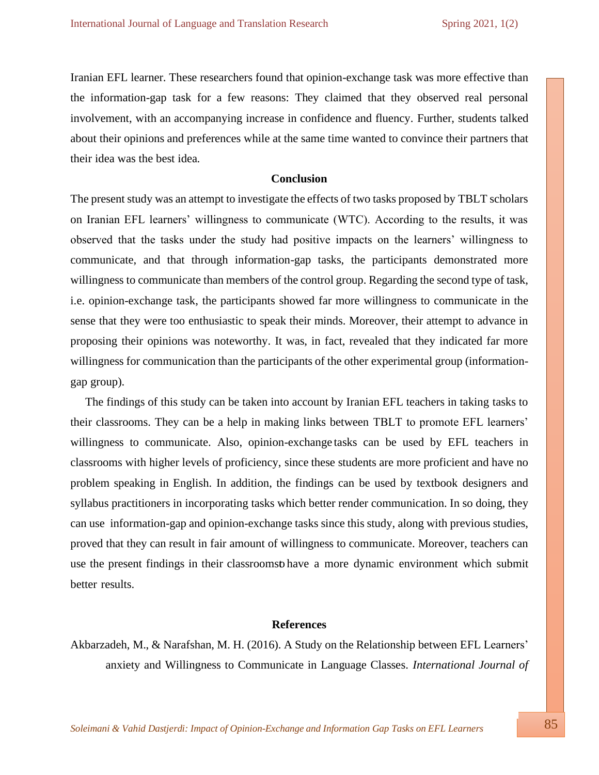Iranian EFL learner. These researchers found that opinion-exchange task was more effective than the information-gap task for a few reasons: They claimed that they observed real personal involvement, with an accompanying increase in confidence and fluency. Further, students talked about their opinions and preferences while at the same time wanted to convince their partners that their idea was the best idea.

#### **Conclusion**

The present study was an attempt to investigate the effects of two tasks proposed by TBLT scholars on Iranian EFL learners' willingness to communicate (WTC). According to the results, it was observed that the tasks under the study had positive impacts on the learners' willingness to communicate, and that through information-gap tasks, the participants demonstrated more willingness to communicate than members of the control group. Regarding the second type of task, i.e. opinion-exchange task, the participants showed far more willingness to communicate in the sense that they were too enthusiastic to speak their minds. Moreover, their attempt to advance in proposing their opinions was noteworthy. It was, in fact, revealed that they indicated far more willingness for communication than the participants of the other experimental group (informationgap group).

 The findings of this study can be taken into account by Iranian EFL teachers in taking tasks to their classrooms. They can be a help in making links between TBLT to promote EFL learners' willingness to communicate. Also, opinion-exchange tasks can be used by EFL teachers in classrooms with higher levels of proficiency, since these students are more proficient and have no problem speaking in English. In addition, the findings can be used by textbook designers and syllabus practitioners in incorporating tasks which better render communication. In so doing, they can use information-gap and opinion-exchange tasks since this study, along with previous studies, proved that they can result in fair amount of willingness to communicate. Moreover, teachers can use the present findings in their classroomst have a more dynamic environment which submit better results.

#### **References**

Akbarzadeh, M., & Narafshan, M. H. (2016). A Study on the Relationship between EFL Learners' anxiety and Willingness to Communicate in Language Classes. *International Journal of*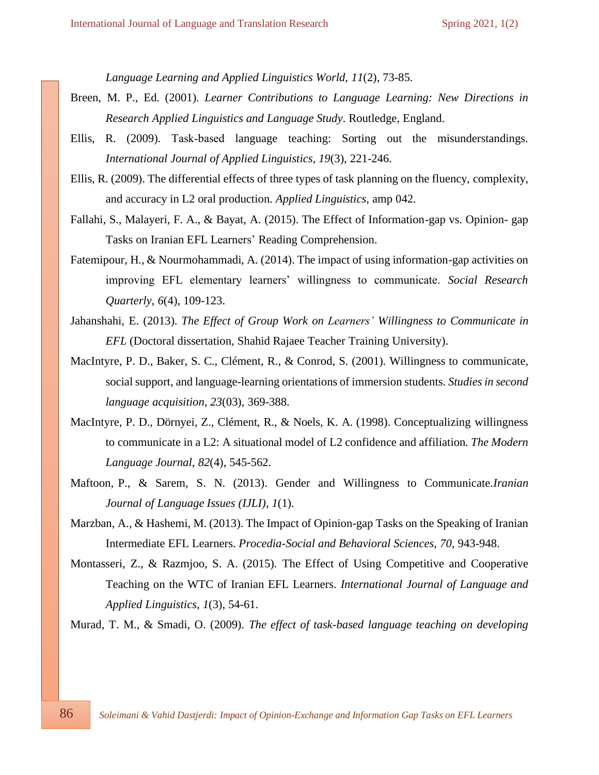*Language Learning and Applied Linguistics World, 11*(2), 73-85.

- Breen, M. P., Ed. (2001). *Learner Contributions to Language Learning: New Directions in Research Applied Linguistics and Language Study*. Routledge, England.
- Ellis, R. (2009). Task‐based language teaching: Sorting out the misunderstandings. *International Journal of Applied Linguistics*, *19*(3), 221-246.
- Ellis, R. (2009). The differential effects of three types of task planning on the fluency, complexity, and accuracy in L2 oral production. *Applied Linguistics*, amp 042.
- Fallahi, S., Malayeri, F. A., & Bayat, A. (2015). The Effect of Information-gap vs. Opinion- gap Tasks on Iranian EFL Learners' Reading Comprehension.
- Fatemipour, H., & Nourmohammadi, A. (2014). The impact of using information-gap activities on improving EFL elementary learners' willingness to communicate. *Social Research Quarterly*, *6*(4), 109-123.
- Jahanshahi, E. (2013). *The Effect of Group Work on Learners' Willingness to Communicate in EFL* (Doctoral dissertation, Shahid Rajaee Teacher Training University).
- MacIntyre, P. D., Baker, S. C., Clément, R., & Conrod, S. (2001). Willingness to communicate, social support, and language-learning orientations of immersion students. *Studiesin second language acquisition*, *23*(03), 369-388.
- MacIntyre, P. D., Dörnyei, Z., Clément, R., & Noels, K. A. (1998). Conceptualizing willingness to communicate in a L2: A situational model of L2 confidence and affiliation. *The Modern Language Journal*, *82*(4), 545-562.
- Maftoon, P., & Sarem, S. N. (2013). Gender and Willingness to Communicate.*Iranian Journal of Language Issues (IJLI)*, *1*(1).
- Marzban, A., & Hashemi, M. (2013). The Impact of Opinion-gap Tasks on the Speaking of Iranian Intermediate EFL Learners. *Procedia-Social and Behavioral Sciences*, *70*, 943-948.
- Montasseri, Z., & Razmjoo, S. A. (2015). The Effect of Using Competitive and Cooperative Teaching on the WTC of Iranian EFL Learners. *International Journal of Language and Applied Linguistics*, *1*(3), 54-61.

Murad, T. M., & Smadi, O. (2009). *The effect of task-based language teaching on developing*